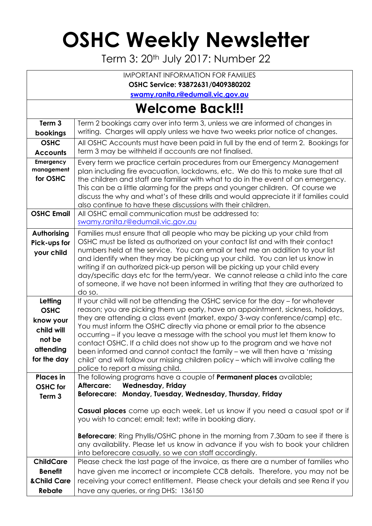# **OSHC Weekly Newsletter**

Term 3: 20<sup>th</sup> July 2017: Number 22

IMPORTANT INFORMATION FOR FAMILIES

**OSHC Service: 93872631/0409380202**

**[swamy.ranita.r@edumail.vic.gov.au](mailto:swamy.ranita.r@edumail.vic.gov.au)**

## **Welcome Back!!!**

| Term 3                                                                                  | Term 2 bookings carry over into term 3, unless we are informed of changes in                                                                                                                                                                                                                                                                                                                                                                                                                                                                                                                                                                                                                        |
|-----------------------------------------------------------------------------------------|-----------------------------------------------------------------------------------------------------------------------------------------------------------------------------------------------------------------------------------------------------------------------------------------------------------------------------------------------------------------------------------------------------------------------------------------------------------------------------------------------------------------------------------------------------------------------------------------------------------------------------------------------------------------------------------------------------|
| bookings                                                                                | writing. Charges will apply unless we have two weeks prior notice of changes.                                                                                                                                                                                                                                                                                                                                                                                                                                                                                                                                                                                                                       |
| <b>OSHC</b><br><b>Accounts</b>                                                          | All OSHC Accounts must have been paid in full by the end of term 2. Bookings for<br>term 3 may be withheld if accounts are not finalised.                                                                                                                                                                                                                                                                                                                                                                                                                                                                                                                                                           |
| Emergency<br>management<br>for OSHC                                                     | Every term we practice certain procedures from our Emergency Management<br>plan including fire evacuation, lockdowns, etc. We do this to make sure that all<br>the children and staff are familiar with what to do in the event of an emergency.<br>This can be a little alarming for the preps and younger children. Of course we<br>discuss the why and what's of these drills and would appreciate it if families could<br>also continue to have these discussions with their children.                                                                                                                                                                                                          |
| <b>OSHC Email</b>                                                                       | All OSHC email communication must be addressed to:<br>swamy.ranita.r@edumail.vic.gov.au                                                                                                                                                                                                                                                                                                                                                                                                                                                                                                                                                                                                             |
| Authorising<br>Pick-ups for<br>your child                                               | Families must ensure that all people who may be picking up your child from<br>OSHC must be listed as authorized on your contact list and with their contact<br>numbers held at the service. You can email or text me an addition to your list<br>and identify when they may be picking up your child. You can let us know in<br>writing if an authorized pick-up person will be picking up your child every<br>day/specific days etc for the term/year. We cannot release a child into the care<br>of someone, if we have not been informed in writing that they are authorized to<br>do so.                                                                                                        |
| Letting<br><b>OSHC</b><br>know your<br>child will<br>not be<br>attending<br>for the day | If your child will not be attending the OSHC service for the day – for whatever<br>reason; you are picking them up early, have an appointment, sickness, holidays,<br>they are attending a class event (market, expo/3-way conference/camp) etc.<br>You must inform the OSHC directly via phone or email prior to the absence<br>occurring – if you leave a message with the school you must let them know to<br>contact OSHC. If a child does not show up to the program and we have not<br>been informed and cannot contact the family - we will then have a 'missing<br>child' and will follow our missing children policy - which will involve calling the<br>police to report a missing child. |
| <b>Places in</b><br><b>OSHC</b> for<br>Term 3                                           | The following programs have a couple of <b>Permanent places</b> available;<br><b>Wednesday, Friday</b><br>Aftercare:<br>Beforecare: Monday, Tuesday, Wednesday, Thursday, Friday                                                                                                                                                                                                                                                                                                                                                                                                                                                                                                                    |
|                                                                                         | Casual places come up each week. Let us know if you need a casual spot or if<br>you wish to cancel; email; text; write in booking diary.<br><b>Beforecare</b> ; Ring Phyllis/OSHC phone in the morning from 7.30am to see if there is<br>any availability. Please let us know in advance if you wish to book your children<br>into beforecare casually, so we can staff accordingly.                                                                                                                                                                                                                                                                                                                |
| <b>ChildCare</b><br><b>Benefit</b><br>& Child Care<br>Rebate                            | Please check the last page of the invoice, as there are a number of families who<br>have given me incorrect or incomplete CCB details. Therefore, you may not be<br>receiving your correct entitlement. Please check your details and see Rena if you<br>have any queries, or ring DHS: 136150                                                                                                                                                                                                                                                                                                                                                                                                      |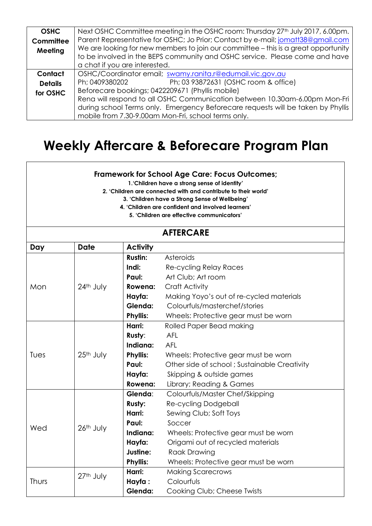| <b>OSHC</b>    | Next OSHC Committee meeting in the OSHC room: Thursday 27 <sup>th</sup> July 2017, 6.00pm. |  |  |  |  |
|----------------|--------------------------------------------------------------------------------------------|--|--|--|--|
| Committee      | Parent Representative for OSHC; Jo Prior; Contact by e-mail; jomatt38@gmail.com            |  |  |  |  |
| Meeting        | We are looking for new members to join our committee - this is a great opportunity         |  |  |  |  |
|                | to be involved in the BEPS community and OSHC service. Please come and have                |  |  |  |  |
|                | a chat if you are interested.                                                              |  |  |  |  |
| Contact        | OSHC/Coordinator email; swamy.ranita.r@edumail.vic.gov.au                                  |  |  |  |  |
| <b>Details</b> | Ph; 03 93872631 (OSHC room & office)<br>Ph; 0409380202                                     |  |  |  |  |
| for OSHC       | Beforecare bookings; 0422209671 (Phyllis mobile)                                           |  |  |  |  |
|                | Rena will respond to all OSHC Communication between 10.30am-6.00pm Mon-Fri                 |  |  |  |  |
|                | during school Terms only. Emergency Beforecare requests will be taken by Phyllis           |  |  |  |  |
|                | mobile from 7.30-9.00am Mon-Fri, school terms only.                                        |  |  |  |  |

### **Weekly Aftercare & Beforecare Program Plan**

#### **Framework for School Age Care: Focus Outcomes;**

**1.'Children have a strong sense of identity'**

**2. 'Children are connected with and contribute to their world'**

**3. 'Children have a Strong Sense of Wellbeing'**

**4. 'Children are confident and involved learners'**

**5. 'Children are effective communicators'**

#### **AFTERCARE**

| Day   | <b>Date</b> | <b>Activity</b> |                                              |
|-------|-------------|-----------------|----------------------------------------------|
| Mon   |             | <b>Rustin:</b>  | Asteroids                                    |
|       |             | Indi:           | Re-cycling Relay Races                       |
|       |             | Paul:           | Art Club; Art room                           |
|       | 24th July   | Rowena:         | Craft Activity                               |
|       |             | Hayfa:          | Making Yoyo's out of re-cycled materials     |
|       |             | Glenda:         | Colourfuls/masterchef/stories                |
|       |             | <b>Phyllis:</b> | Wheels: Protective gear must be worn         |
|       |             | Harri:          | Rolled Paper Bead making                     |
|       |             | Rusty:          | <b>AFL</b>                                   |
|       |             | Indiana:        | <b>AFL</b>                                   |
| Tues  | 25th July   | <b>Phyllis:</b> | Wheels: Protective gear must be worn         |
|       |             | Paul:           | Other side of school; Sustainable Creativity |
|       |             | Hayfa:          | Skipping & outside games                     |
|       |             | Rowena:         | Library; Reading & Games                     |
|       |             | Glenda:         | Colourfuls/Master Chef/Skipping              |
|       |             | <b>Rusty:</b>   | Re-cycling Dodgeball                         |
|       |             | Harri:          | Sewing Club; Soft Toys                       |
| Wed   | 26th July   | Paul:           | Soccer                                       |
|       |             | Indiana:        | Wheels: Protective gear must be worn         |
|       |             | Hayfa:          | Origami out of recycled materials            |
|       |             | Justine:        | <b>Raak Drawing</b>                          |
|       |             | <b>Phyllis:</b> | Wheels: Protective gear must be worn         |
| Thurs | 27th July   | Harri:          | <b>Making Scarecrows</b>                     |
|       |             | Hayfa:          | Colourfuls                                   |
|       |             | Glenda:         | Cooking Club; Cheese Twists                  |